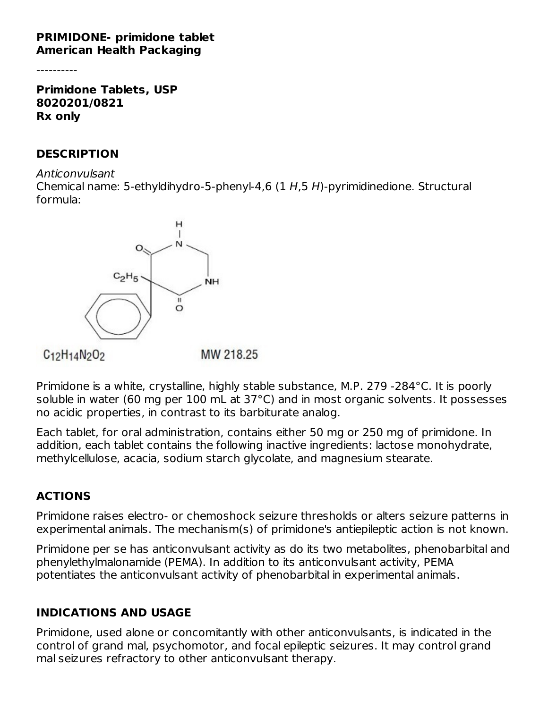#### **PRIMIDONE- primidone tablet American Health Packaging**

----------

**Primidone Tablets, USP 8020201/0821 Rx only**

#### **DESCRIPTION**

Anticonvulsant

Chemical name: 5-ethyldihydro-5-phenyl-4,6 (1 H,5 H)-pyrimidinedione. Structural formula:



C<sub>12</sub>H<sub>14</sub>N<sub>2</sub>O<sub>2</sub>

MW 218.25

Primidone is a white, crystalline, highly stable substance, M.P. 279 -284°C. It is poorly soluble in water (60 mg per 100 mL at 37°C) and in most organic solvents. It possesses no acidic properties, in contrast to its barbiturate analog.

Each tablet, for oral administration, contains either 50 mg or 250 mg of primidone. In addition, each tablet contains the following inactive ingredients: lactose monohydrate, methylcellulose, acacia, sodium starch glycolate, and magnesium stearate.

# **ACTIONS**

Primidone raises electro- or chemoshock seizure thresholds or alters seizure patterns in experimental animals. The mechanism(s) of primidone's antiepileptic action is not known.

Primidone per se has anticonvulsant activity as do its two metabolites, phenobarbital and phenylethylmalonamide (PEMA). In addition to its anticonvulsant activity, PEMA potentiates the anticonvulsant activity of phenobarbital in experimental animals.

### **INDICATIONS AND USAGE**

Primidone, used alone or concomitantly with other anticonvulsants, is indicated in the control of grand mal, psychomotor, and focal epileptic seizures. It may control grand mal seizures refractory to other anticonvulsant therapy.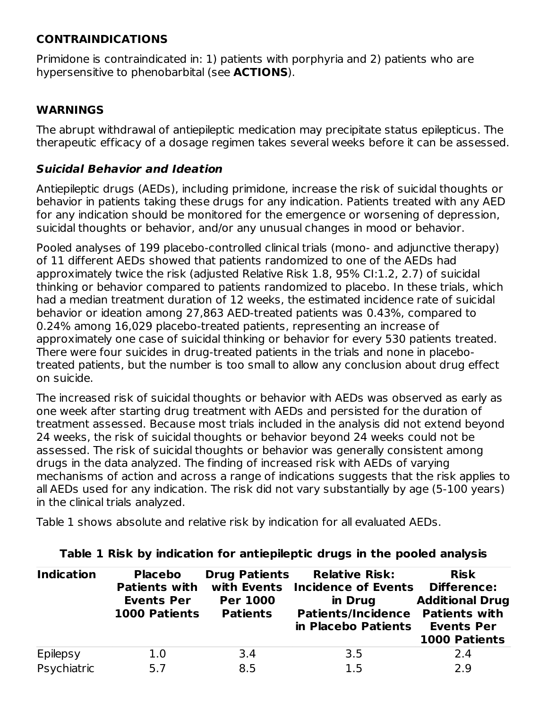# **CONTRAINDICATIONS**

Primidone is contraindicated in: 1) patients with porphyria and 2) patients who are hypersensitive to phenobarbital (see **ACTIONS**).

# **WARNINGS**

The abrupt withdrawal of antiepileptic medication may precipitate status epilepticus. The therapeutic efficacy of a dosage regimen takes several weeks before it can be assessed.

# **Suicidal Behavior and Ideation**

Antiepileptic drugs (AEDs), including primidone, increase the risk of suicidal thoughts or behavior in patients taking these drugs for any indication. Patients treated with any AED for any indication should be monitored for the emergence or worsening of depression, suicidal thoughts or behavior, and/or any unusual changes in mood or behavior.

Pooled analyses of 199 placebo-controlled clinical trials (mono- and adjunctive therapy) of 11 different AEDs showed that patients randomized to one of the AEDs had approximately twice the risk (adjusted Relative Risk 1.8, 95% CI:1.2, 2.7) of suicidal thinking or behavior compared to patients randomized to placebo. In these trials, which had a median treatment duration of 12 weeks, the estimated incidence rate of suicidal behavior or ideation among 27,863 AED-treated patients was 0.43%, compared to 0.24% among 16,029 placebo-treated patients, representing an increase of approximately one case of suicidal thinking or behavior for every 530 patients treated. There were four suicides in drug-treated patients in the trials and none in placebotreated patients, but the number is too small to allow any conclusion about drug effect on suicide.

The increased risk of suicidal thoughts or behavior with AEDs was observed as early as one week after starting drug treatment with AEDs and persisted for the duration of treatment assessed. Because most trials included in the analysis did not extend beyond 24 weeks, the risk of suicidal thoughts or behavior beyond 24 weeks could not be assessed. The risk of suicidal thoughts or behavior was generally consistent among drugs in the data analyzed. The finding of increased risk with AEDs of varying mechanisms of action and across a range of indications suggests that the risk applies to all AEDs used for any indication. The risk did not vary substantially by age (5-100 years) in the clinical trials analyzed.

Table 1 shows absolute and relative risk by indication for all evaluated AEDs.

| <b>Indication</b> | <b>Placebo</b>       | <b>Drug Patients</b> | <b>Relative Risk:</b>                   | <b>Risk</b>            |
|-------------------|----------------------|----------------------|-----------------------------------------|------------------------|
|                   | <b>Patients with</b> |                      | with Events Incidence of Events         | <b>Difference:</b>     |
|                   | <b>Events Per</b>    | <b>Per 1000</b>      | in Drug                                 | <b>Additional Drug</b> |
|                   | <b>1000 Patients</b> | <b>Patients</b>      | <b>Patients/Incidence Patients with</b> |                        |
|                   |                      |                      | in Placebo Patients                     | <b>Events Per</b>      |
|                   |                      |                      |                                         | <b>1000 Patients</b>   |
| Epilepsy          | 1.0                  | 3.4                  | 3.5                                     | 2.4                    |
| Psychiatric       | 5.7                  | 8.5                  | 1.5                                     | 2.9                    |

### **Table 1 Risk by indication for antiepileptic drugs in the pooled analysis**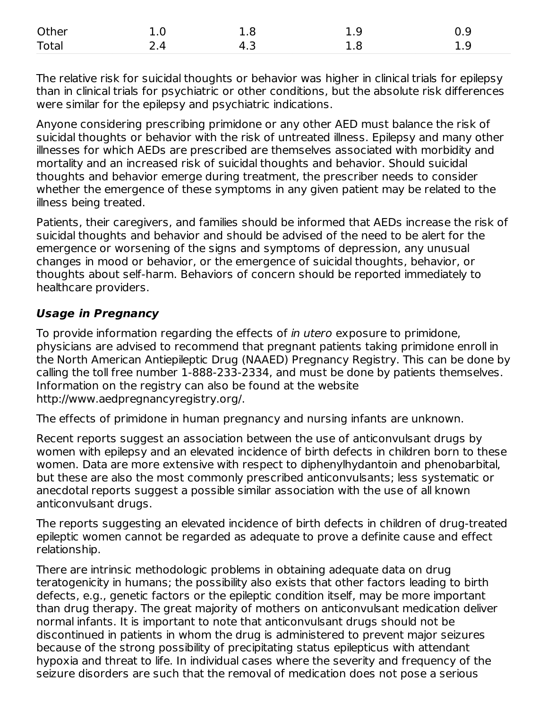| Other | 1.0 | 1.8      | 1.9 <sub>1</sub> | n q |
|-------|-----|----------|------------------|-----|
| Total | 2.4 | 4 P<br>J | 1.8              | 1.9 |

The relative risk for suicidal thoughts or behavior was higher in clinical trials for epilepsy than in clinical trials for psychiatric or other conditions, but the absolute risk differences were similar for the epilepsy and psychiatric indications.

Anyone considering prescribing primidone or any other AED must balance the risk of suicidal thoughts or behavior with the risk of untreated illness. Epilepsy and many other illnesses for which AEDs are prescribed are themselves associated with morbidity and mortality and an increased risk of suicidal thoughts and behavior. Should suicidal thoughts and behavior emerge during treatment, the prescriber needs to consider whether the emergence of these symptoms in any given patient may be related to the illness being treated.

Patients, their caregivers, and families should be informed that AEDs increase the risk of suicidal thoughts and behavior and should be advised of the need to be alert for the emergence or worsening of the signs and symptoms of depression, any unusual changes in mood or behavior, or the emergence of suicidal thoughts, behavior, or thoughts about self-harm. Behaviors of concern should be reported immediately to healthcare providers.

# **Usage in Pregnancy**

To provide information regarding the effects of in utero exposure to primidone, physicians are advised to recommend that pregnant patients taking primidone enroll in the North American Antiepileptic Drug (NAAED) Pregnancy Registry. This can be done by calling the toll free number 1-888-233-2334, and must be done by patients themselves. Information on the registry can also be found at the website http://www.aedpregnancyregistry.org/.

The effects of primidone in human pregnancy and nursing infants are unknown.

Recent reports suggest an association between the use of anticonvulsant drugs by women with epilepsy and an elevated incidence of birth defects in children born to these women. Data are more extensive with respect to diphenylhydantoin and phenobarbital, but these are also the most commonly prescribed anticonvulsants; less systematic or anecdotal reports suggest a possible similar association with the use of all known anticonvulsant drugs.

The reports suggesting an elevated incidence of birth defects in children of drug-treated epileptic women cannot be regarded as adequate to prove a definite cause and effect relationship.

There are intrinsic methodologic problems in obtaining adequate data on drug teratogenicity in humans; the possibility also exists that other factors leading to birth defects, e.g., genetic factors or the epileptic condition itself, may be more important than drug therapy. The great majority of mothers on anticonvulsant medication deliver normal infants. It is important to note that anticonvulsant drugs should not be discontinued in patients in whom the drug is administered to prevent major seizures because of the strong possibility of precipitating status epilepticus with attendant hypoxia and threat to life. In individual cases where the severity and frequency of the seizure disorders are such that the removal of medication does not pose a serious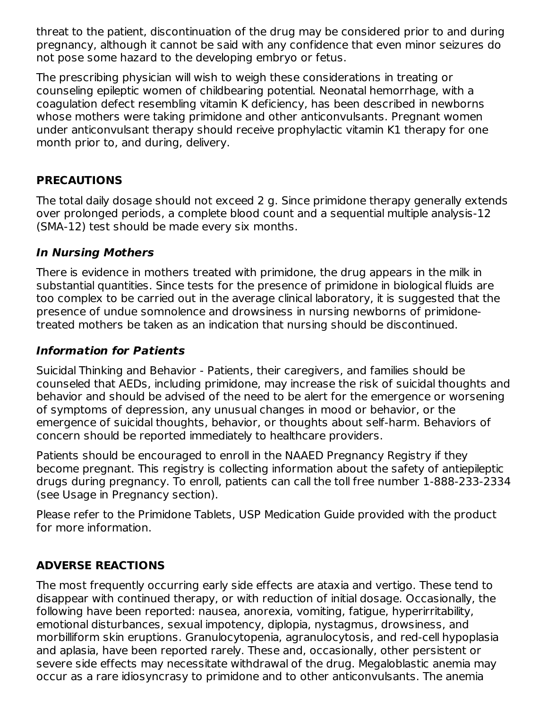threat to the patient, discontinuation of the drug may be considered prior to and during pregnancy, although it cannot be said with any confidence that even minor seizures do not pose some hazard to the developing embryo or fetus.

The prescribing physician will wish to weigh these considerations in treating or counseling epileptic women of childbearing potential. Neonatal hemorrhage, with a coagulation defect resembling vitamin K deficiency, has been described in newborns whose mothers were taking primidone and other anticonvulsants. Pregnant women under anticonvulsant therapy should receive prophylactic vitamin K1 therapy for one month prior to, and during, delivery.

# **PRECAUTIONS**

The total daily dosage should not exceed 2 g. Since primidone therapy generally extends over prolonged periods, a complete blood count and a sequential multiple analysis-12 (SMA-12) test should be made every six months.

### **In Nursing Mothers**

There is evidence in mothers treated with primidone, the drug appears in the milk in substantial quantities. Since tests for the presence of primidone in biological fluids are too complex to be carried out in the average clinical laboratory, it is suggested that the presence of undue somnolence and drowsiness in nursing newborns of primidonetreated mothers be taken as an indication that nursing should be discontinued.

### **Information for Patients**

Suicidal Thinking and Behavior - Patients, their caregivers, and families should be counseled that AEDs, including primidone, may increase the risk of suicidal thoughts and behavior and should be advised of the need to be alert for the emergence or worsening of symptoms of depression, any unusual changes in mood or behavior, or the emergence of suicidal thoughts, behavior, or thoughts about self-harm. Behaviors of concern should be reported immediately to healthcare providers.

Patients should be encouraged to enroll in the NAAED Pregnancy Registry if they become pregnant. This registry is collecting information about the safety of antiepileptic drugs during pregnancy. To enroll, patients can call the toll free number 1-888-233-2334 (see Usage in Pregnancy section).

Please refer to the Primidone Tablets, USP Medication Guide provided with the product for more information.

# **ADVERSE REACTIONS**

The most frequently occurring early side effects are ataxia and vertigo. These tend to disappear with continued therapy, or with reduction of initial dosage. Occasionally, the following have been reported: nausea, anorexia, vomiting, fatigue, hyperirritability, emotional disturbances, sexual impotency, diplopia, nystagmus, drowsiness, and morbilliform skin eruptions. Granulocytopenia, agranulocytosis, and red-cell hypoplasia and aplasia, have been reported rarely. These and, occasionally, other persistent or severe side effects may necessitate withdrawal of the drug. Megaloblastic anemia may occur as a rare idiosyncrasy to primidone and to other anticonvulsants. The anemia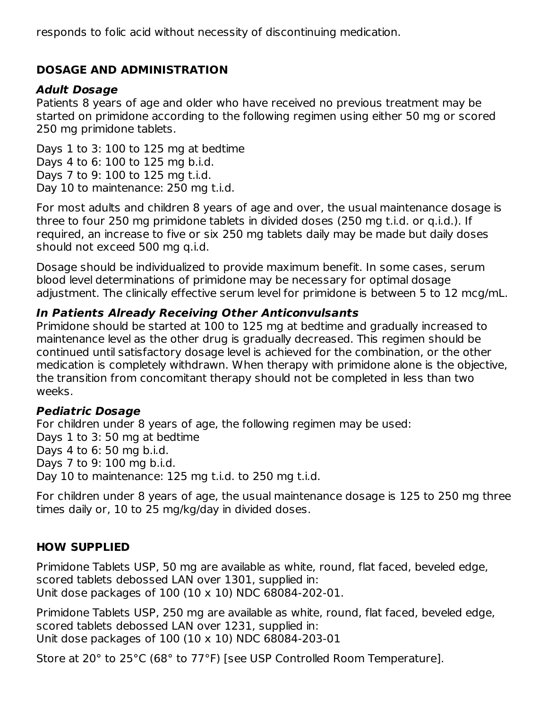responds to folic acid without necessity of discontinuing medication.

# **DOSAGE AND ADMINISTRATION**

### **Adult Dosage**

Patients 8 years of age and older who have received no previous treatment may be started on primidone according to the following regimen using either 50 mg or scored 250 mg primidone tablets.

Days 1 to 3: 100 to 125 mg at bedtime Days 4 to 6: 100 to 125 mg b.i.d. Days 7 to 9: 100 to 125 mg t.i.d. Day 10 to maintenance: 250 mg t.i.d.

For most adults and children 8 years of age and over, the usual maintenance dosage is three to four 250 mg primidone tablets in divided doses (250 mg t.i.d. or q.i.d.). If required, an increase to five or six 250 mg tablets daily may be made but daily doses should not exceed 500 mg q.i.d.

Dosage should be individualized to provide maximum benefit. In some cases, serum blood level determinations of primidone may be necessary for optimal dosage adjustment. The clinically effective serum level for primidone is between 5 to 12 mcg/mL.

### **In Patients Already Receiving Other Anticonvulsants**

Primidone should be started at 100 to 125 mg at bedtime and gradually increased to maintenance level as the other drug is gradually decreased. This regimen should be continued until satisfactory dosage level is achieved for the combination, or the other medication is completely withdrawn. When therapy with primidone alone is the objective, the transition from concomitant therapy should not be completed in less than two weeks.

### **Pediatric Dosage**

For children under 8 years of age, the following regimen may be used: Days 1 to 3: 50 mg at bedtime Days 4 to 6: 50 mg b.i.d. Days 7 to 9: 100 mg b.i.d. Day 10 to maintenance: 125 mg t.i.d. to 250 mg t.i.d.

For children under 8 years of age, the usual maintenance dosage is 125 to 250 mg three times daily or, 10 to 25 mg/kg/day in divided doses.

# **HOW SUPPLIED**

Primidone Tablets USP, 50 mg are available as white, round, flat faced, beveled edge, scored tablets debossed LAN over 1301, supplied in: Unit dose packages of 100 (10 x 10) NDC 68084-202-01.

Primidone Tablets USP, 250 mg are available as white, round, flat faced, beveled edge, scored tablets debossed LAN over 1231, supplied in: Unit dose packages of 100 (10 x 10) NDC 68084-203-01

Store at 20° to 25°C (68° to 77°F) [see USP Controlled Room Temperature].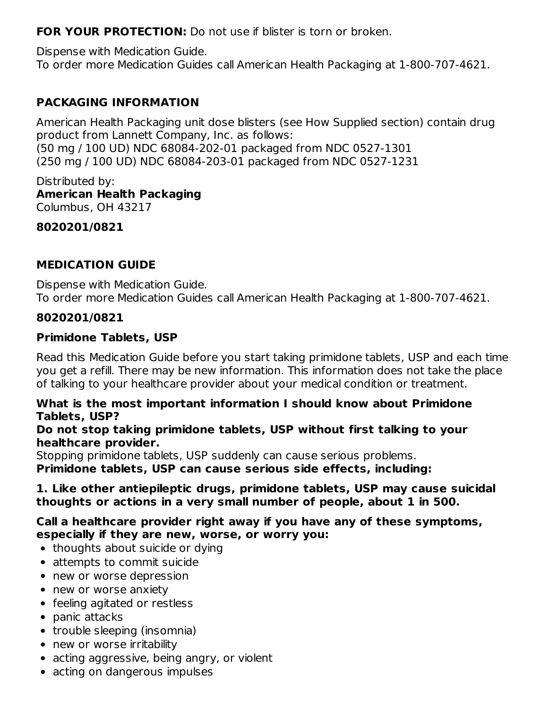**FOR YOUR PROTECTION:** Do not use if blister is torn or broken.

Dispense with Medication Guide.

To order more Medication Guides call American Health Packaging at 1-800-707-4621.

### **PACKAGING INFORMATION**

American Health Packaging unit dose blisters (see How Supplied section) contain drug product from Lannett Company, Inc. as follows: (50 mg / 100 UD) NDC 68084-202-01 packaged from NDC 0527-1301 (250 mg / 100 UD) NDC 68084-203-01 packaged from NDC 0527-1231

#### Distributed by: **American Health Packaging** Columbus, OH 43217

### **8020201/0821**

### **MEDICATION GUIDE**

Dispense with Medication Guide. To order more Medication Guides call American Health Packaging at 1-800-707-4621.

#### **8020201/0821**

#### **Primidone Tablets, USP**

Read this Medication Guide before you start taking primidone tablets, USP and each time you get a refill. There may be new information. This information does not take the place of talking to your healthcare provider about your medical condition or treatment.

#### **What is the most important information I should know about Primidone Tablets, USP?**

#### **Do not stop taking primidone tablets, USP without first talking to your healthcare provider.**

Stopping primidone tablets, USP suddenly can cause serious problems.

**Primidone tablets, USP can cause serious side effects, including:**

#### **1. Like other antiepileptic drugs, primidone tablets, USP may cause suicidal thoughts or actions in a very small number of people, about 1 in 500.**

#### **Call a healthcare provider right away if you have any of these symptoms, especially if they are new, worse, or worry you:**

- thoughts about suicide or dying
- attempts to commit suicide
- new or worse depression
- new or worse anxiety
- feeling agitated or restless
- $\bullet$  panic attacks
- trouble sleeping (insomnia)
- new or worse irritability
- acting aggressive, being angry, or violent
- acting on dangerous impulses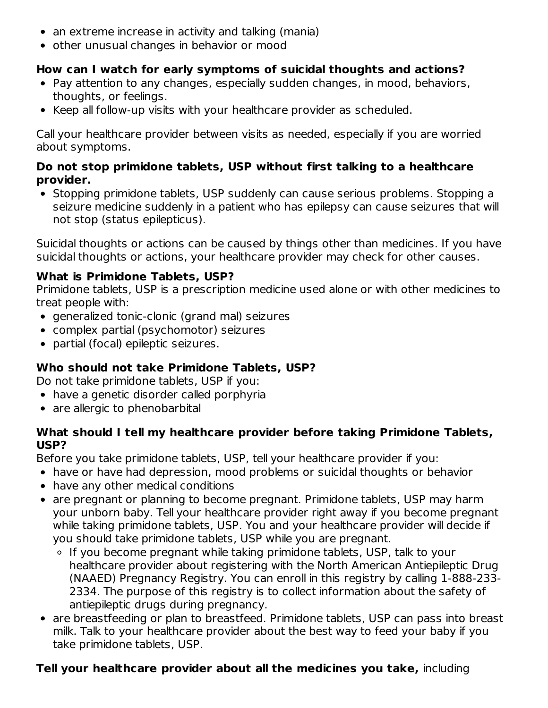- an extreme increase in activity and talking (mania)
- other unusual changes in behavior or mood

# **How can I watch for early symptoms of suicidal thoughts and actions?**

- Pay attention to any changes, especially sudden changes, in mood, behaviors, thoughts, or feelings.
- Keep all follow-up visits with your healthcare provider as scheduled.

Call your healthcare provider between visits as needed, especially if you are worried about symptoms.

### **Do not stop primidone tablets, USP without first talking to a healthcare provider.**

• Stopping primidone tablets, USP suddenly can cause serious problems. Stopping a seizure medicine suddenly in a patient who has epilepsy can cause seizures that will not stop (status epilepticus).

Suicidal thoughts or actions can be caused by things other than medicines. If you have suicidal thoughts or actions, your healthcare provider may check for other causes.

# **What is Primidone Tablets, USP?**

Primidone tablets, USP is a prescription medicine used alone or with other medicines to treat people with:

- generalized tonic-clonic (grand mal) seizures
- complex partial (psychomotor) seizures
- partial (focal) epileptic seizures.

# **Who should not take Primidone Tablets, USP?**

Do not take primidone tablets, USP if you:

- have a genetic disorder called porphyria
- are allergic to phenobarbital

### **What should I tell my healthcare provider before taking Primidone Tablets, USP?**

Before you take primidone tablets, USP, tell your healthcare provider if you:

- have or have had depression, mood problems or suicidal thoughts or behavior
- have any other medical conditions
- are pregnant or planning to become pregnant. Primidone tablets, USP may harm your unborn baby. Tell your healthcare provider right away if you become pregnant while taking primidone tablets, USP. You and your healthcare provider will decide if you should take primidone tablets, USP while you are pregnant.
	- If you become pregnant while taking primidone tablets, USP, talk to your healthcare provider about registering with the North American Antiepileptic Drug (NAAED) Pregnancy Registry. You can enroll in this registry by calling 1-888-233- 2334. The purpose of this registry is to collect information about the safety of antiepileptic drugs during pregnancy.
- are breastfeeding or plan to breastfeed. Primidone tablets, USP can pass into breast milk. Talk to your healthcare provider about the best way to feed your baby if you take primidone tablets, USP.

# **Tell your healthcare provider about all the medicines you take,** including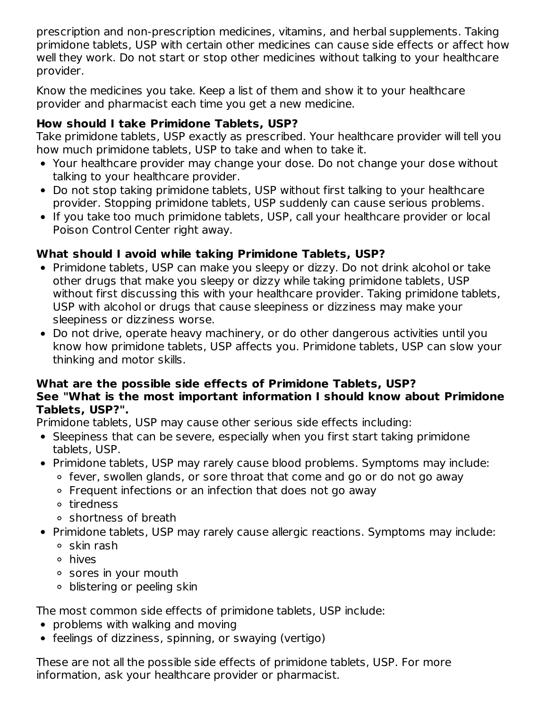prescription and non-prescription medicines, vitamins, and herbal supplements. Taking primidone tablets, USP with certain other medicines can cause side effects or affect how well they work. Do not start or stop other medicines without talking to your healthcare provider.

Know the medicines you take. Keep a list of them and show it to your healthcare provider and pharmacist each time you get a new medicine.

# **How should I take Primidone Tablets, USP?**

Take primidone tablets, USP exactly as prescribed. Your healthcare provider will tell you how much primidone tablets, USP to take and when to take it.

- Your healthcare provider may change your dose. Do not change your dose without talking to your healthcare provider.
- Do not stop taking primidone tablets, USP without first talking to your healthcare provider. Stopping primidone tablets, USP suddenly can cause serious problems.
- If you take too much primidone tablets, USP, call your healthcare provider or local Poison Control Center right away.

# **What should I avoid while taking Primidone Tablets, USP?**

- Primidone tablets, USP can make you sleepy or dizzy. Do not drink alcohol or take other drugs that make you sleepy or dizzy while taking primidone tablets, USP without first discussing this with your healthcare provider. Taking primidone tablets, USP with alcohol or drugs that cause sleepiness or dizziness may make your sleepiness or dizziness worse.
- Do not drive, operate heavy machinery, or do other dangerous activities until you know how primidone tablets, USP affects you. Primidone tablets, USP can slow your thinking and motor skills.

### **What are the possible side effects of Primidone Tablets, USP? See "What is the most important information I should know about Primidone Tablets, USP?".**

Primidone tablets, USP may cause other serious side effects including:

- Sleepiness that can be severe, especially when you first start taking primidone tablets, USP.
- Primidone tablets, USP may rarely cause blood problems. Symptoms may include:
	- fever, swollen glands, or sore throat that come and go or do not go away
	- Frequent infections or an infection that does not go away
	- tiredness
	- shortness of breath
- Primidone tablets, USP may rarely cause allergic reactions. Symptoms may include:
	- $\circ$  skin rash
	- hives
	- sores in your mouth
	- blistering or peeling skin

The most common side effects of primidone tablets, USP include:

- problems with walking and moving
- feelings of dizziness, spinning, or swaying (vertigo)

These are not all the possible side effects of primidone tablets, USP. For more information, ask your healthcare provider or pharmacist.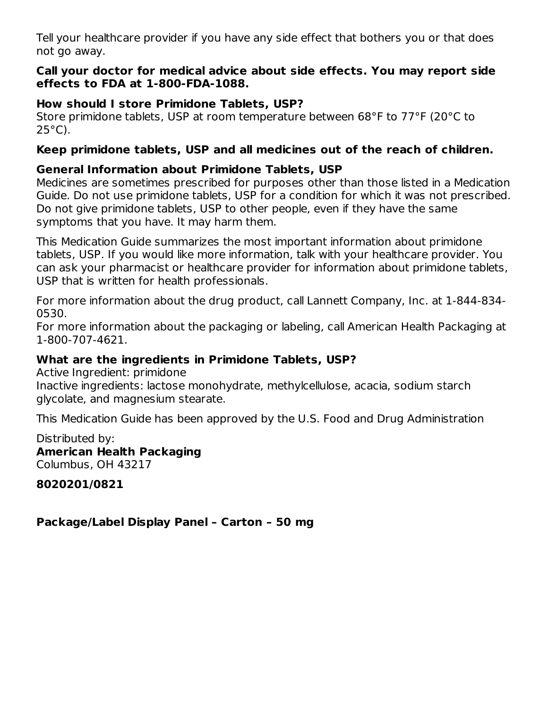Tell your healthcare provider if you have any side effect that bothers you or that does not go away.

#### **Call your doctor for medical advice about side effects. You may report side effects to FDA at 1-800-FDA-1088.**

### **How should I store Primidone Tablets, USP?**

Store primidone tablets, USP at room temperature between 68°F to 77°F (20°C to 25°C).

### **Keep primidone tablets, USP and all medicines out of the reach of children.**

### **General Information about Primidone Tablets, USP**

Medicines are sometimes prescribed for purposes other than those listed in a Medication Guide. Do not use primidone tablets, USP for a condition for which it was not prescribed. Do not give primidone tablets, USP to other people, even if they have the same symptoms that you have. It may harm them.

This Medication Guide summarizes the most important information about primidone tablets, USP. If you would like more information, talk with your healthcare provider. You can ask your pharmacist or healthcare provider for information about primidone tablets, USP that is written for health professionals.

For more information about the drug product, call Lannett Company, Inc. at 1-844-834- 0530.

For more information about the packaging or labeling, call American Health Packaging at 1-800-707-4621.

### **What are the ingredients in Primidone Tablets, USP?**

Active Ingredient: primidone

Inactive ingredients: lactose monohydrate, methylcellulose, acacia, sodium starch glycolate, and magnesium stearate.

This Medication Guide has been approved by the U.S. Food and Drug Administration

# Distributed by: **American Health Packaging**

Columbus, OH 43217

**8020201/0821**

**Package/Label Display Panel – Carton – 50 mg**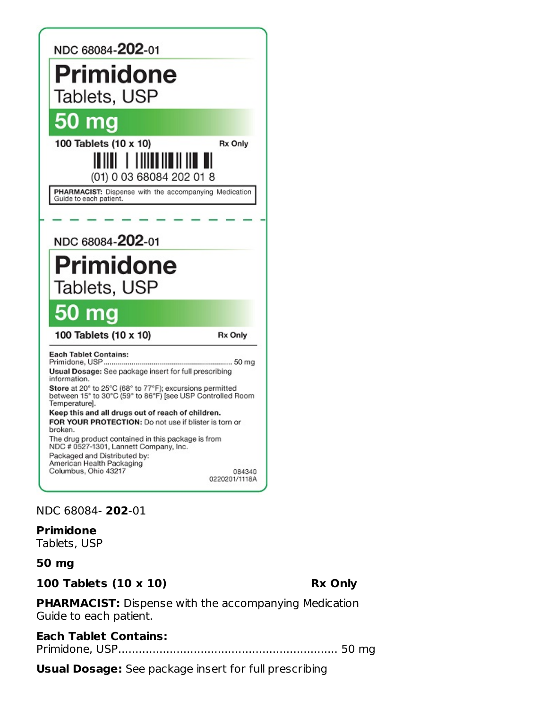

#### NDC 68084- **202**-01

**Primidone**

Tablets, USP

#### **50 mg**

#### **100 Tablets (10 x 10) Rx Only**

**PHARMACIST:** Dispense with the accompanying Medication Guide to each patient.

**Each Tablet Contains:** Primidone, USP................................................................ 50 mg

**Usual Dosage:** See package insert for full prescribing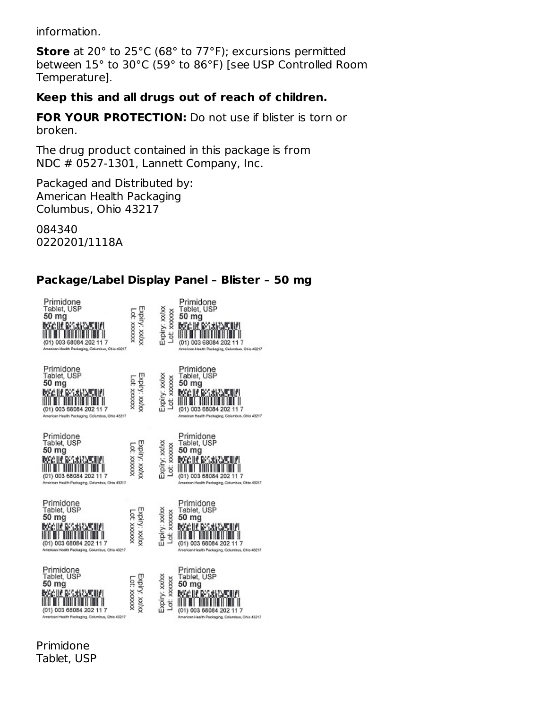information.

**Store** at 20° to 25°C (68° to 77°F); excursions permitted between 15° to 30°C (59° to 86°F) [see USP Controlled Room Temperature].

#### **Keep this and all drugs out of reach of children.**

**FOR YOUR PROTECTION:** Do not use if blister is torn or broken.

The drug product contained in this package is from NDC # 0527-1301, Lannett Company, Inc.

Packaged and Distributed by: American Health Packaging Columbus, Ohio 43217

084340 0220201/1118A

# **Package/Label Display Panel – Blister – 50 mg**



Primidone Tablet, USP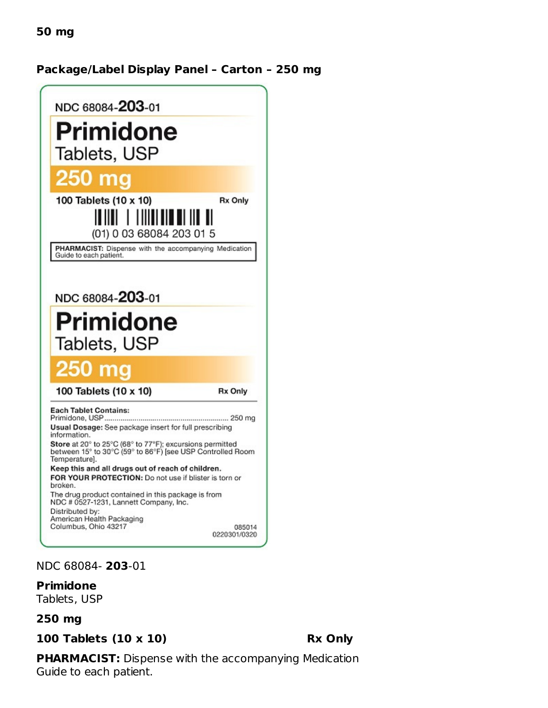### **Package/Label Display Panel – Carton – 250 mg**

| NDC 68084-203-01<br><b>Primidone</b><br>Tablets, USP                                                                                                                                                                                                                                                                                                                                                                                                                                                                      |                |
|---------------------------------------------------------------------------------------------------------------------------------------------------------------------------------------------------------------------------------------------------------------------------------------------------------------------------------------------------------------------------------------------------------------------------------------------------------------------------------------------------------------------------|----------------|
| 250 m                                                                                                                                                                                                                                                                                                                                                                                                                                                                                                                     |                |
| 100 Tablets (10 x 10)<br>I III II IIIIII III IIII<br>(01) 0 03 68084 203 01 5                                                                                                                                                                                                                                                                                                                                                                                                                                             | <b>Rx Only</b> |
| PHARMACIST: Dispense with the accompanying Medication<br>Guide to each patient.                                                                                                                                                                                                                                                                                                                                                                                                                                           |                |
| NDC 68084-203-01<br><b>Primidone</b>                                                                                                                                                                                                                                                                                                                                                                                                                                                                                      |                |
| Tablets, USP<br>250 mg                                                                                                                                                                                                                                                                                                                                                                                                                                                                                                    |                |
| 100 Tablets (10 x 10)                                                                                                                                                                                                                                                                                                                                                                                                                                                                                                     | Rx Only        |
| <b>Each Tablet Contains:</b><br>Usual Dosage: See package insert for full prescribing<br>information.<br>Store at 20° to 25°C (68° to 77°F); excursions permitted<br>between 15° to 30°C (59° to 86°F) [see USP Controlled Room<br>Temperature].<br>Keep this and all drugs out of reach of children.<br>FOR YOUR PROTECTION: Do not use if blister is torn or<br>broken.<br>The drug product contained in this package is from<br>NDC # 0527-1231, Lannett Company, Inc.<br>Distributed by:<br>American Health Packaging |                |

#### NDC 68084- **203**-01

**Primidone** Tablets, USP

# **250 mg**

**100 Tablets (10 x 10) Rx Only**

**PHARMACIST:** Dispense with the accompanying Medication Guide to each patient.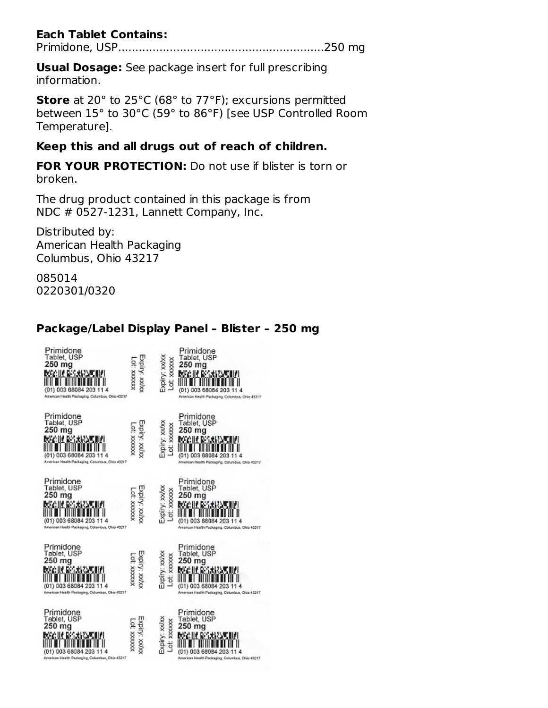# **Each Tablet Contains:**

Primidone, USP............................................................250 mg

**Usual Dosage:** See package insert for full prescribing information.

**Store** at 20° to 25°C (68° to 77°F); excursions permitted between 15° to 30°C (59° to 86°F) [see USP Controlled Room Temperature].

### **Keep this and all drugs out of reach of children.**

**FOR YOUR PROTECTION:** Do not use if blister is torn or broken.

The drug product contained in this package is from NDC # 0527-1231, Lannett Company, Inc.

Distributed by: American Health Packaging Columbus, Ohio 43217

085014 0220301/0320

# **Package/Label Display Panel – Blister – 250 mg**

| Primidone<br>Tablet, USP<br>250 mg<br>our resuse<br>(01) 003 68084 203 11 4<br>American Health Packaging, Columbus, Ohio 43217    | DC: XXXXXX | Expiry: xx/xx | Expiry: xx/xx | ot; xxxxxx  | Primidone<br>Tablet, USP<br>250 mg<br>elle Résaltan<br>(01) 003 68084 203 11 4<br>American Health Packaging, Columbus, Ohio 43217 |
|-----------------------------------------------------------------------------------------------------------------------------------|------------|---------------|---------------|-------------|-----------------------------------------------------------------------------------------------------------------------------------|
| Primidone<br>Tablet, USP<br>250 mg<br>bacih Raakv<br>(01) 003 68084<br>114<br>American Health Packaging, Columbus, Ohio 43217     | 01: XXXXXX | Expiry: XX/XX | Expiry: xxixx | Lot: xxxxxx | Primidone<br>Tablet, USP<br>250 mg<br>MAIL MARKE<br>(01) 003 68084 203<br>American Health Packaging, Columbus, Ohio 43217         |
| Primidone<br>Tablet, USP<br>250 mg<br>IF BYSKIN<br>(01) 003 68084 203 11 4<br>American Health Packaging, Columbus, Ohio 43217     | XXXXXX 10  | Expiry: xx/xx | Expiry: xx/xx | Lot: xxxxxx | Primidone<br>Tablet, USP<br>250 mg<br>II BYARAKI<br>(01) 003 68084 203 11 4<br>American Health Packaging, Columbus, Ohio 43217    |
| Primidone<br>Tablet, USP<br>250 mg<br>borojn poravo<br>(01) 003 68084 203 11 4<br>American Health Packaging, Columbus, Ohio 43217 | Lot xxxxxx | Expiry: xx/xx | Expiry: xxlxx | Lot: xxxxxx | Primidone<br>Tablet, USP<br><b>250 mg</b><br>公財 昭武松<br>(01) 003 68084 203 11 4<br>American Health Packaging, Columbus, Chio 43217 |
| Primidone<br>Tablet, USP<br>250 mg<br>II BARA<br>003<br>203<br>68084<br>American Health Packaging, Columbus, Ohio 43217           | AXXXXX.10  | Expiry: xx/xx | Expiry: xx/xx | Lot: xxxxxx | Primidone<br>Tablet, USP<br>250 mg<br><b>CHERGARAN</b><br>4<br>Health Packaging, Columbus, Ohio 43217                             |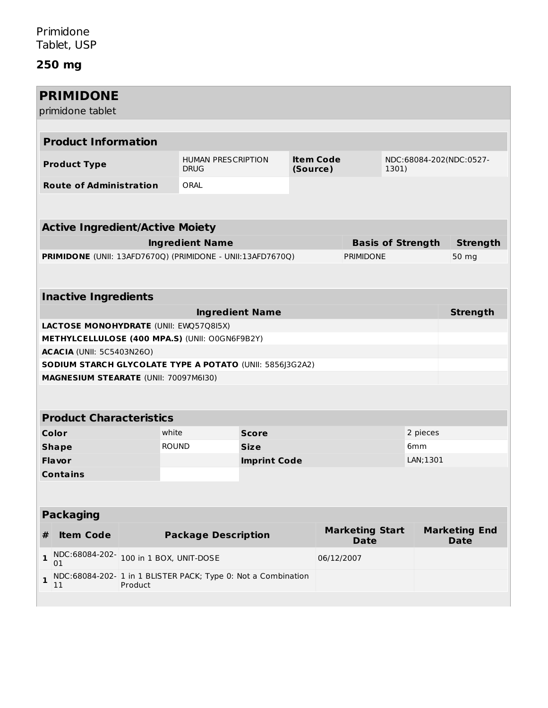# **250 mg**

|                                                    | <b>PRIMIDONE</b><br>primidone tablet                                |         |                                          |                                       |  |                                       |  |                         |                                     |
|----------------------------------------------------|---------------------------------------------------------------------|---------|------------------------------------------|---------------------------------------|--|---------------------------------------|--|-------------------------|-------------------------------------|
|                                                    | <b>Product Information</b>                                          |         |                                          |                                       |  |                                       |  |                         |                                     |
|                                                    | <b>Product Type</b>                                                 |         | <b>HUMAN PRESCRIPTION</b><br><b>DRUG</b> | <b>Item Code</b><br>(Source)<br>1301) |  |                                       |  | NDC:68084-202(NDC:0527- |                                     |
|                                                    | <b>Route of Administration</b>                                      |         | ORAI                                     |                                       |  |                                       |  |                         |                                     |
|                                                    |                                                                     |         |                                          |                                       |  |                                       |  |                         |                                     |
|                                                    | <b>Active Ingredient/Active Moiety</b>                              |         |                                          |                                       |  |                                       |  |                         |                                     |
| <b>Ingredient Name</b><br><b>Basis of Strength</b> |                                                                     |         |                                          |                                       |  |                                       |  | <b>Strength</b>         |                                     |
|                                                    | PRIMIDONE (UNII: 13AFD7670Q) (PRIMIDONE - UNII:13AFD7670Q)          |         |                                          |                                       |  | <b>PRIMIDONE</b>                      |  |                         | 50 mg                               |
|                                                    |                                                                     |         |                                          |                                       |  |                                       |  |                         |                                     |
|                                                    | <b>Inactive Ingredients</b>                                         |         |                                          |                                       |  |                                       |  |                         |                                     |
|                                                    |                                                                     |         |                                          | <b>Ingredient Name</b>                |  |                                       |  |                         | <b>Strength</b>                     |
|                                                    | LACTOSE MONOHYDRATE (UNII: EWQ57Q8I5X)                              |         |                                          |                                       |  |                                       |  |                         |                                     |
|                                                    | METHYLCELLULOSE (400 MPA.S) (UNII: O0GN6F9B2Y)                      |         |                                          |                                       |  |                                       |  |                         |                                     |
|                                                    | <b>ACACIA (UNII: 5C5403N26O)</b>                                    |         |                                          |                                       |  |                                       |  |                         |                                     |
|                                                    | SODIUM STARCH GLYCOLATE TYPE A POTATO (UNII: 5856J3G2A2)            |         |                                          |                                       |  |                                       |  |                         |                                     |
|                                                    | MAGNESIUM STEARATE (UNII: 70097M6I30)                               |         |                                          |                                       |  |                                       |  |                         |                                     |
|                                                    |                                                                     |         |                                          |                                       |  |                                       |  |                         |                                     |
|                                                    | <b>Product Characteristics</b>                                      |         |                                          |                                       |  |                                       |  |                         |                                     |
|                                                    | Color                                                               | white   |                                          | <b>Score</b>                          |  |                                       |  | 2 pieces                |                                     |
|                                                    | <b>Shape</b>                                                        |         | <b>ROUND</b>                             | <b>Size</b>                           |  |                                       |  | 6 <sub>mm</sub>         |                                     |
|                                                    | Flavor                                                              |         |                                          | <b>Imprint Code</b>                   |  |                                       |  | LAN; 1301               |                                     |
|                                                    | <b>Contains</b>                                                     |         |                                          |                                       |  |                                       |  |                         |                                     |
|                                                    |                                                                     |         |                                          |                                       |  |                                       |  |                         |                                     |
|                                                    | <b>Packaging</b>                                                    |         |                                          |                                       |  |                                       |  |                         |                                     |
| #                                                  | <b>Item Code</b>                                                    |         | <b>Package Description</b>               |                                       |  | <b>Marketing Start</b><br><b>Date</b> |  |                         | <b>Marketing End</b><br><b>Date</b> |
| $\mathbf{1}$                                       | NDC:68084-202- 100 in 1 BOX, UNIT-DOSE<br>01                        |         |                                          |                                       |  | 06/12/2007                            |  |                         |                                     |
| 1                                                  | NDC:68084-202- 1 in 1 BLISTER PACK; Type 0: Not a Combination<br>11 | Product |                                          |                                       |  |                                       |  |                         |                                     |
|                                                    |                                                                     |         |                                          |                                       |  |                                       |  |                         |                                     |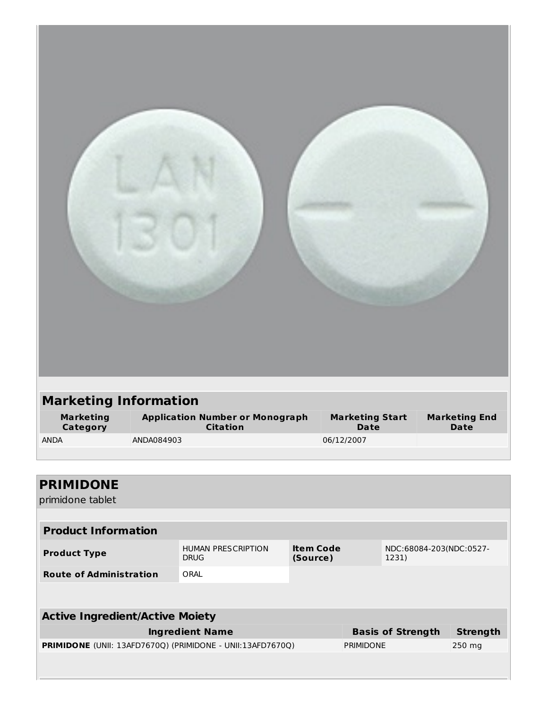| <b>Marketing Information</b> |            |                                                     |                                |                              |
|------------------------------|------------|-----------------------------------------------------|--------------------------------|------------------------------|
| <b>Marketing</b><br>Category |            | <b>Application Number or Monograph<br/>Citation</b> | <b>Marketing Start</b><br>Date | <b>Marketing End</b><br>Date |
| <b>ANDA</b>                  | ANDA084903 |                                                     | 06/12/2007                     |                              |
|                              |            |                                                     |                                |                              |
|                              |            |                                                     |                                |                              |

| <b>PRIMIDONE</b>                                                  |                                          |                              |                  |                                  |                 |
|-------------------------------------------------------------------|------------------------------------------|------------------------------|------------------|----------------------------------|-----------------|
| primidone tablet                                                  |                                          |                              |                  |                                  |                 |
|                                                                   |                                          |                              |                  |                                  |                 |
| <b>Product Information</b>                                        |                                          |                              |                  |                                  |                 |
| <b>Product Type</b>                                               | <b>HUMAN PRESCRIPTION</b><br><b>DRUG</b> | <b>Item Code</b><br>(Source) |                  | NDC:68084-203(NDC:0527-<br>1231) |                 |
| <b>Route of Administration</b>                                    | ORAL                                     |                              |                  |                                  |                 |
|                                                                   |                                          |                              |                  |                                  |                 |
| <b>Active Ingredient/Active Moiety</b>                            |                                          |                              |                  |                                  |                 |
|                                                                   | <b>Ingredient Name</b>                   |                              |                  | <b>Basis of Strength</b>         | <b>Strength</b> |
| <b>PRIMIDONE</b> (UNII: 13AFD7670Q) (PRIMIDONE - UNII:13AFD7670Q) |                                          |                              | <b>PRIMIDONE</b> |                                  | 250 mg          |
|                                                                   |                                          |                              |                  |                                  |                 |
|                                                                   |                                          |                              |                  |                                  |                 |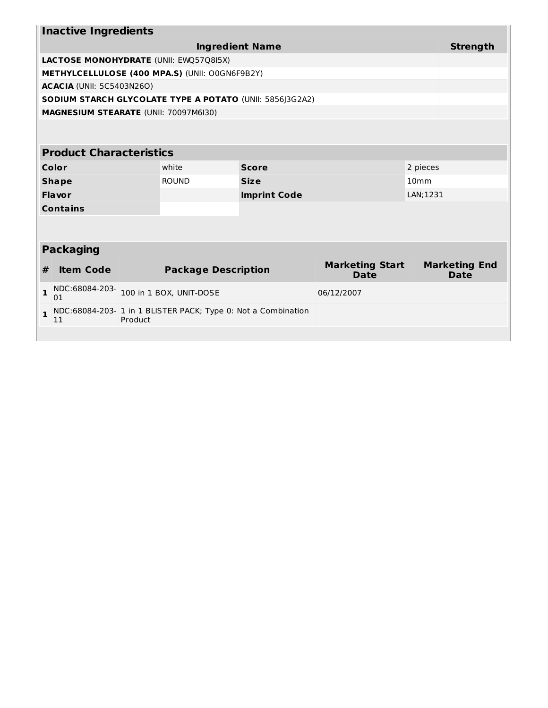| <b>Inactive Ingredients</b>                       |              |                                                          |                  |  |  |
|---------------------------------------------------|--------------|----------------------------------------------------------|------------------|--|--|
| <b>Ingredient Name</b>                            |              |                                                          |                  |  |  |
| LACTOSE MONOHYDRATE (UNII: EWQ57Q8I5X)            |              |                                                          |                  |  |  |
| METHYLCELLULOSE (400 MPA.S) (UNII: O0GN6F9B2Y)    |              |                                                          |                  |  |  |
| <b>ACACIA (UNII: 5C5403N26O)</b>                  |              |                                                          |                  |  |  |
|                                                   |              | SODIUM STARCH GLYCOLATE TYPE A POTATO (UNII: 5856J3G2A2) |                  |  |  |
| <b>MAGNESIUM STEARATE (UNII: 70097M6I30)</b>      |              |                                                          |                  |  |  |
|                                                   |              |                                                          |                  |  |  |
| <b>Product Characteristics</b>                    |              |                                                          |                  |  |  |
| Color                                             | white        | <b>Score</b>                                             | 2 pieces         |  |  |
| <b>Shape</b>                                      | <b>ROUND</b> | <b>Size</b>                                              | 10 <sub>mm</sub> |  |  |
| <b>Flavor</b><br><b>Imprint Code</b><br>LAN; 1231 |              |                                                          |                  |  |  |
| <b>Contains</b>                                   |              |                                                          |                  |  |  |
|                                                   |              |                                                          |                  |  |  |
|                                                   |              |                                                          |                  |  |  |
| Packaging                                         |              |                                                          |                  |  |  |

|   | <u>. acinaging</u> |                                                                            |                                |                              |  |  |  |  |
|---|--------------------|----------------------------------------------------------------------------|--------------------------------|------------------------------|--|--|--|--|
| # | <b>Item Code</b>   | <b>Package Description</b>                                                 | <b>Marketing Start</b><br>Date | <b>Marketing End</b><br>Date |  |  |  |  |
|   |                    | 1 NDC:68084-203-<br>01 01 1 BOX, UNIT-DOSE                                 | 06/12/2007                     |                              |  |  |  |  |
|   |                    | 1 NDC:68084-203- 1 in 1 BLISTER PACK; Type 0: Not a Combination<br>Product |                                |                              |  |  |  |  |
|   |                    |                                                                            |                                |                              |  |  |  |  |